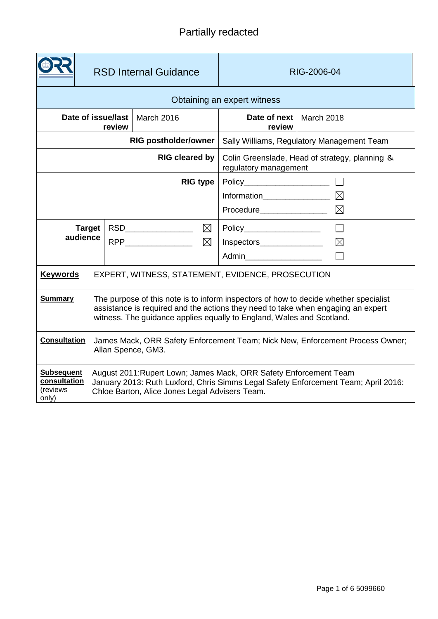# Partially redacted

|                                                                                                                                                                                                                                                                     | <b>RSD Internal Guidance</b> |                   | RIG-2006-04                                                             |             |  |
|---------------------------------------------------------------------------------------------------------------------------------------------------------------------------------------------------------------------------------------------------------------------|------------------------------|-------------------|-------------------------------------------------------------------------|-------------|--|
| Obtaining an expert witness                                                                                                                                                                                                                                         |                              |                   |                                                                         |             |  |
| Date of issue/last<br>March 2016<br>review                                                                                                                                                                                                                          |                              |                   | Date of next<br>review                                                  | March 2018  |  |
| <b>RIG postholder/owner</b>                                                                                                                                                                                                                                         |                              |                   | Sally Williams, Regulatory Management Team                              |             |  |
| <b>RIG cleared by</b>                                                                                                                                                                                                                                               |                              |                   | Colin Greenslade, Head of strategy, planning &<br>regulatory management |             |  |
| <b>RIG type</b>                                                                                                                                                                                                                                                     |                              |                   | $Policy$ $\qquad \qquad \qquad$                                         |             |  |
|                                                                                                                                                                                                                                                                     |                              |                   |                                                                         |             |  |
|                                                                                                                                                                                                                                                                     |                              |                   | Procedure__________________                                             | $\bowtie$   |  |
|                                                                                                                                                                                                                                                                     |                              |                   |                                                                         | $\Box$      |  |
| audience                                                                                                                                                                                                                                                            |                              | $RPP$ $\boxtimes$ | Inspectors_________________                                             | $\boxtimes$ |  |
|                                                                                                                                                                                                                                                                     |                              |                   | Admin                                                                   |             |  |
| <b>Keywords</b><br>EXPERT, WITNESS, STATEMENT, EVIDENCE, PROSECUTION                                                                                                                                                                                                |                              |                   |                                                                         |             |  |
| The purpose of this note is to inform inspectors of how to decide whether specialist<br><b>Summary</b><br>assistance is required and the actions they need to take when engaging an expert<br>witness. The guidance applies equally to England, Wales and Scotland. |                              |                   |                                                                         |             |  |
| <b>Consultation</b><br>James Mack, ORR Safety Enforcement Team; Nick New, Enforcement Process Owner;<br>Allan Spence, GM3.                                                                                                                                          |                              |                   |                                                                         |             |  |
| <b>Subsequent</b><br>August 2011: Rupert Lown; James Mack, ORR Safety Enforcement Team<br>consultation<br>January 2013: Ruth Luxford, Chris Simms Legal Safety Enforcement Team; April 2016:<br>(reviews<br>Chloe Barton, Alice Jones Legal Advisers Team.<br>only) |                              |                   |                                                                         |             |  |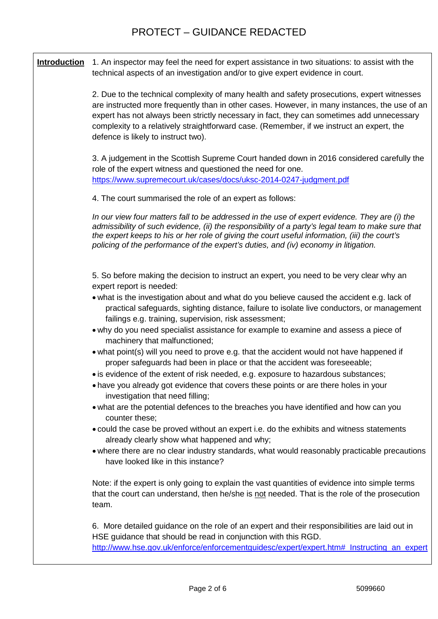## PROTECT – GUIDANCE REDACTED

**Introduction** 1. An inspector may feel the need for expert assistance in two situations: to assist with the technical aspects of an investigation and/or to give expert evidence in court.

> 2. Due to the technical complexity of many health and safety prosecutions, expert witnesses are instructed more frequently than in other cases. However, in many instances, the use of an expert has not always been strictly necessary in fact, they can sometimes add unnecessary complexity to a relatively straightforward case. (Remember, if we instruct an expert, the defence is likely to instruct two).

> 3. A judgement in the Scottish Supreme Court handed down in 2016 considered carefully the role of the expert witness and questioned the need for one. <https://www.supremecourt.uk/cases/docs/uksc-2014-0247-judgment.pdf>

4. The court summarised the role of an expert as follows:

*In our view four matters fall to be addressed in the use of expert evidence. They are (i) the admissibility of such evidence, (ii) the responsibility of a party's legal team to make sure that the expert keeps to his or her role of giving the court useful information, (iii) the court's policing of the performance of the expert's duties, and (iv) economy in litigation.*

5. So before making the decision to instruct an expert, you need to be very clear why an expert report is needed:

- what is the investigation about and what do you believe caused the accident e.g. lack of practical safeguards, sighting distance, failure to isolate live conductors, or management failings e.g. training, supervision, risk assessment;
- why do you need specialist assistance for example to examine and assess a piece of machinery that malfunctioned;
- what point(s) will you need to prove e.g. that the accident would not have happened if proper safeguards had been in place or that the accident was foreseeable;
- is evidence of the extent of risk needed, e.g. exposure to hazardous substances;
- have you already got evidence that covers these points or are there holes in your investigation that need filling;
- what are the potential defences to the breaches you have identified and how can you counter these;
- could the case be proved without an expert i.e. do the exhibits and witness statements already clearly show what happened and why;
- where there are no clear industry standards, what would reasonably practicable precautions have looked like in this instance?

Note: if the expert is only going to explain the vast quantities of evidence into simple terms that the court can understand, then he/she is not needed. That is the role of the prosecution team.

6. More detailed guidance on the role of an expert and their responsibilities are laid out in HSE guidance that should be read in conjunction with this RGD. http://www.hse.gov.uk/enforce/enforcementguidesc/expert/expert.htm#\_Instructing\_an\_expert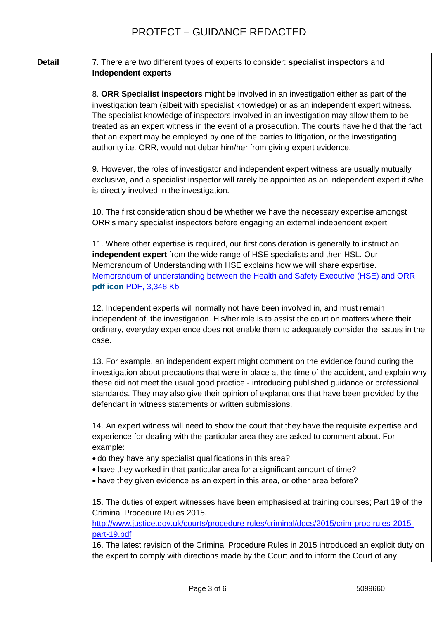### **Detail** 7. There are two different types of experts to consider: **specialist inspectors** and **Independent experts**

8. **ORR Specialist inspectors** might be involved in an investigation either as part of the investigation team (albeit with specialist knowledge) or as an independent expert witness. The specialist knowledge of inspectors involved in an investigation may allow them to be treated as an expert witness in the event of a prosecution. The courts have held that the fact that an expert may be employed by one of the parties to litigation, or the investigating authority i.e. ORR, would not debar him/her from giving expert evidence.

9. However, the roles of investigator and independent expert witness are usually mutually exclusive, and a specialist inspector will rarely be appointed as an independent expert if s/he is directly involved in the investigation.

10. The first consideration should be whether we have the necessary expertise amongst ORR's many specialist inspectors before engaging an external independent expert.

11. Where other expertise is required, our first consideration is generally to instruct an **independent expert** from the wide range of HSE specialists and then HSL. Our Memorandum of Understanding with HSE explains how we will share expertise. [Memorandum of understanding between the Health and Safety Executive \(HSE\) and ORR](http://orr.gov.uk/__data/assets/pdf_file/0006/1698/mou-between-orr-and-hse-300415.pdf)  **pdf icon** [PDF, 3,348 Kb](http://orr.gov.uk/__data/assets/pdf_file/0006/1698/mou-between-orr-and-hse-300415.pdf)

12. Independent experts will normally not have been involved in, and must remain independent of, the investigation. His/her role is to assist the court on matters where their ordinary, everyday experience does not enable them to adequately consider the issues in the case.

13. For example, an independent expert might comment on the evidence found during the investigation about precautions that were in place at the time of the accident, and explain why these did not meet the usual good practice - introducing published guidance or professional standards. They may also give their opinion of explanations that have been provided by the defendant in witness statements or written submissions.

14. An expert witness will need to show the court that they have the requisite expertise and experience for dealing with the particular area they are asked to comment about. For example:

- do they have any specialist qualifications in this area?
- have they worked in that particular area for a significant amount of time?
- have they given evidence as an expert in this area, or other area before?

15. The duties of expert witnesses have been emphasised at training courses; Part 19 of the Criminal Procedure Rules 2015.

[http://www.justice.gov.uk/courts/procedure-rules/criminal/docs/2015/crim-proc-rules-2015](http://www.justice.gov.uk/courts/procedure-rules/criminal/docs/2015/crim-proc-rules-2015-part-19.pdf) [part-19.pdf](http://www.justice.gov.uk/courts/procedure-rules/criminal/docs/2015/crim-proc-rules-2015-part-19.pdf)

16. The latest revision of the Criminal Procedure Rules in 2015 introduced an explicit duty on the expert to comply with directions made by the Court and to inform the Court of any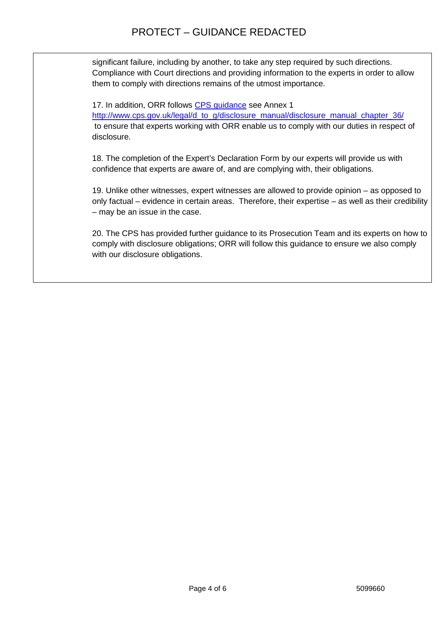significant failure, including by another, to take any step required by such directions. Compliance with Court directions and providing information to the experts in order to allow them to comply with directions remains of the utmost importance.

17. In addition, ORR follows CPS [guidance](http://www.cps.gov.uk/legal/d_to_g/disclosure_manual/) see Annex 1

http://www.cps.gov.uk/legal/d\_to\_g/disclosure\_manual/disclosure\_manual\_chapter\_36/ to ensure that experts working with ORR enable us to comply with our duties in respect of disclosure.

18. The completion of the Expert's Declaration Form by our experts will provide us with confidence that experts are aware of, and are complying with, their obligations.

19. Unlike other witnesses, expert witnesses are allowed to provide opinion – as opposed to only factual – evidence in certain areas. Therefore, their expertise – as well as their credibility – may be an issue in the case.

20. The CPS has provided further guidance to its Prosecution Team and its experts on how to comply with disclosure obligations; ORR will follow this guidance to ensure we also comply with our disclosure obligations.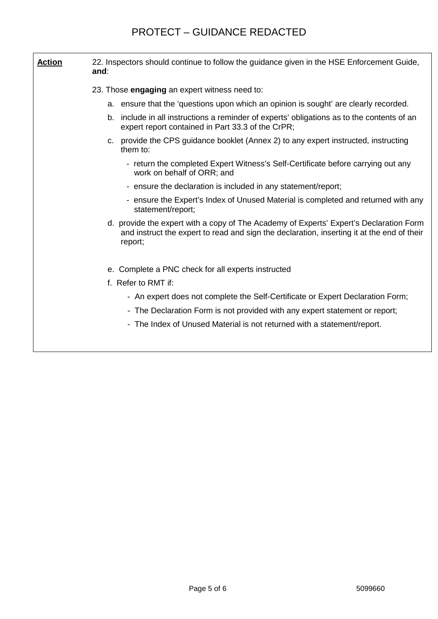| <b>Action</b> | 22. Inspectors should continue to follow the guidance given in the HSE Enforcement Guide,<br>and:                                                                                               |  |  |  |
|---------------|-------------------------------------------------------------------------------------------------------------------------------------------------------------------------------------------------|--|--|--|
|               | 23. Those engaging an expert witness need to:                                                                                                                                                   |  |  |  |
|               | a. ensure that the 'questions upon which an opinion is sought' are clearly recorded.                                                                                                            |  |  |  |
|               | include in all instructions a reminder of experts' obligations as to the contents of an<br>b.<br>expert report contained in Part 33.3 of the CrPR;                                              |  |  |  |
|               | provide the CPS guidance booklet (Annex 2) to any expert instructed, instructing<br>C.<br>them to:                                                                                              |  |  |  |
|               | - return the completed Expert Witness's Self-Certificate before carrying out any<br>work on behalf of ORR; and                                                                                  |  |  |  |
|               | - ensure the declaration is included in any statement/report;                                                                                                                                   |  |  |  |
|               | - ensure the Expert's Index of Unused Material is completed and returned with any<br>statement/report;                                                                                          |  |  |  |
|               | d. provide the expert with a copy of The Academy of Experts' Expert's Declaration Form<br>and instruct the expert to read and sign the declaration, inserting it at the end of their<br>report; |  |  |  |
|               | e. Complete a PNC check for all experts instructed                                                                                                                                              |  |  |  |
|               | f. Refer to RMT if:                                                                                                                                                                             |  |  |  |
|               | - An expert does not complete the Self-Certificate or Expert Declaration Form;                                                                                                                  |  |  |  |
|               | - The Declaration Form is not provided with any expert statement or report;                                                                                                                     |  |  |  |
|               | - The Index of Unused Material is not returned with a statement/report.                                                                                                                         |  |  |  |